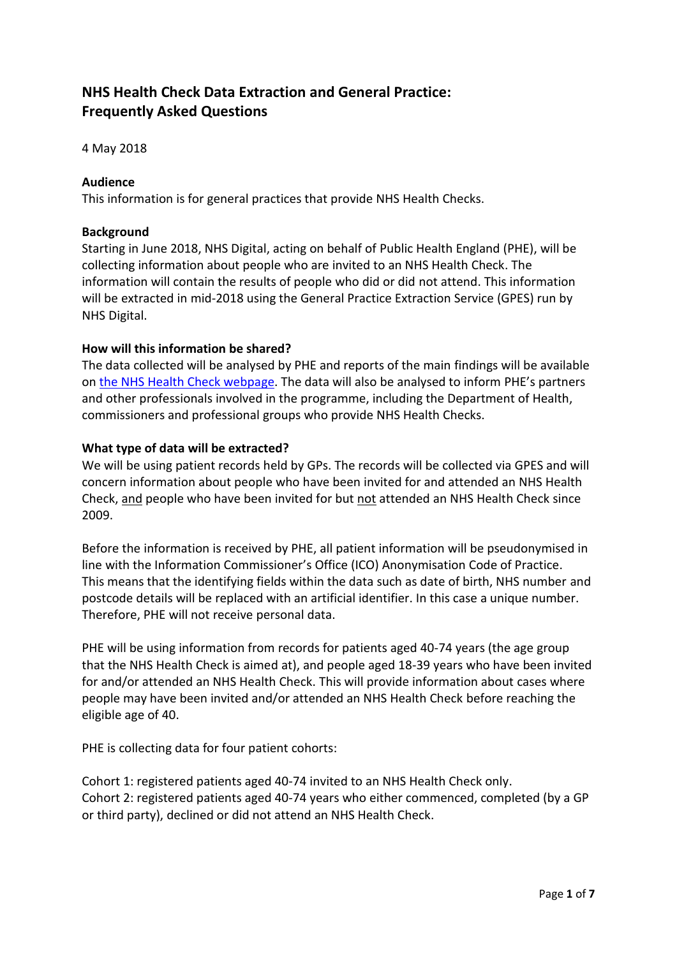# **NHS Health Check Data Extraction and General Practice: Frequently Asked Questions**

4 May 2018

#### **Audience**

This information is for general practices that provide NHS Health Checks.

#### **Background**

Starting in June 2018, NHS Digital, acting on behalf of Public Health England (PHE), will be collecting information about people who are invited to an NHS Health Check. The information will contain the results of people who did or did not attend. This information will be extracted in mid-2018 using the General Practice Extraction Service (GPES) run by NHS Digital.

#### **How will this information be shared?**

The data collected will be analysed by PHE and reports of the main findings will be available on [the NHS Health Check webpage.](https://www.healthcheck.nhs.uk/commissioners_and_providers/data/nhs_health_check_data_extract/) The data will also be analysed to inform PHE's partners and other professionals involved in the programme, including the Department of Health, commissioners and professional groups who provide NHS Health Checks.

#### **What type of data will be extracted?**

We will be using patient records held by GPs. The records will be collected via GPES and will concern information about people who have been invited for and attended an NHS Health Check, and people who have been invited for but not attended an NHS Health Check since 2009.

Before the information is received by PHE, all patient information will be pseudonymised in line with the Information Commissioner's Office (ICO) Anonymisation Code of Practice. This means that the identifying fields within the data such as date of birth, NHS number and postcode details will be replaced with an artificial identifier. In this case a unique number. Therefore, PHE will not receive personal data.

PHE will be using information from records for patients aged 40-74 years (the age group that the NHS Health Check is aimed at), and people aged 18-39 years who have been invited for and/or attended an NHS Health Check. This will provide information about cases where people may have been invited and/or attended an NHS Health Check before reaching the eligible age of 40.

PHE is collecting data for four patient cohorts:

Cohort 1: registered patients aged 40-74 invited to an NHS Health Check only. Cohort 2: registered patients aged 40-74 years who either commenced, completed (by a GP or third party), declined or did not attend an NHS Health Check.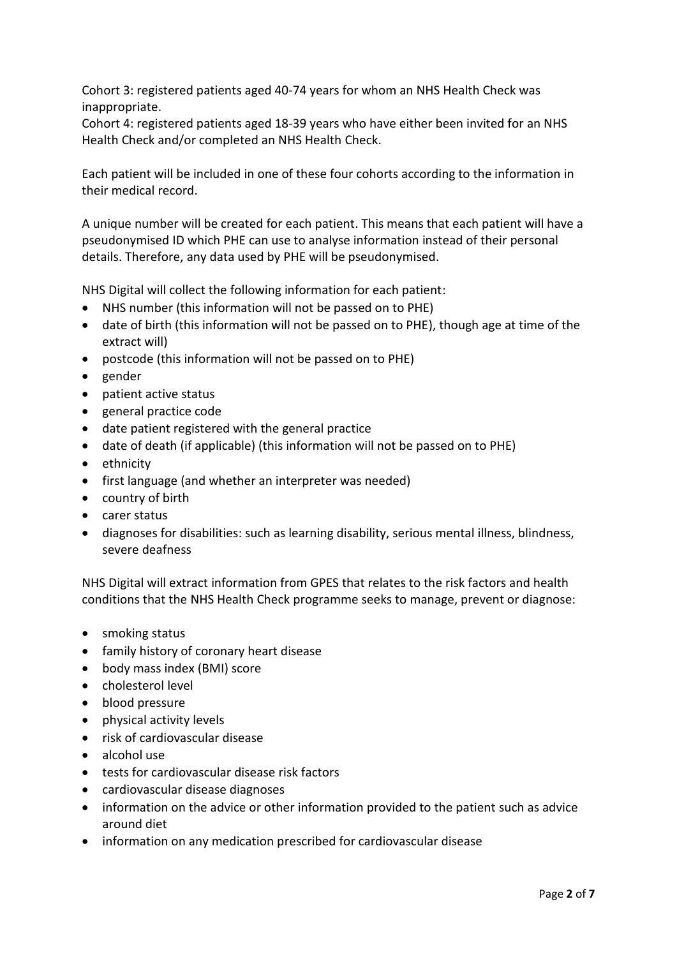Cohort 3: registered patients aged 40-74 years for whom an NHS Health Check was inappropriate.

Cohort 4: registered patients aged 18-39 years who have either been invited for an NHS Health Check and/or completed an NHS Health Check.

Each patient will be included in one of these four cohorts according to the information in their medical record.

A unique number will be created for each patient. This means that each patient will have a pseudonymised ID which PHE can use to analyse information instead of their personal details. Therefore, any data used by PHE will be pseudonymised.

NHS Digital will collect the following information for each patient:

- NHS number (this information will not be passed on to PHE)
- date of birth (this information will not be passed on to PHE), though age at time of the extract will)
- postcode (this information will not be passed on to PHE)
- gender
- patient active status
- general practice code
- date patient registered with the general practice
- date of death (if applicable) (this information will not be passed on to PHE)
- ethnicity
- first language (and whether an interpreter was needed)
- country of birth
- carer status
- diagnoses for disabilities: such as learning disability, serious mental illness, blindness, severe deafness

NHS Digital will extract information from GPES that relates to the risk factors and health conditions that the NHS Health Check programme seeks to manage, prevent or diagnose:

- smoking status
- family history of coronary heart disease
- body mass index (BMI) score
- cholesterol level
- blood pressure
- physical activity levels
- risk of cardiovascular disease
- alcohol use
- tests for cardiovascular disease risk factors
- cardiovascular disease diagnoses
- information on the advice or other information provided to the patient such as advice around diet
- information on any medication prescribed for cardiovascular disease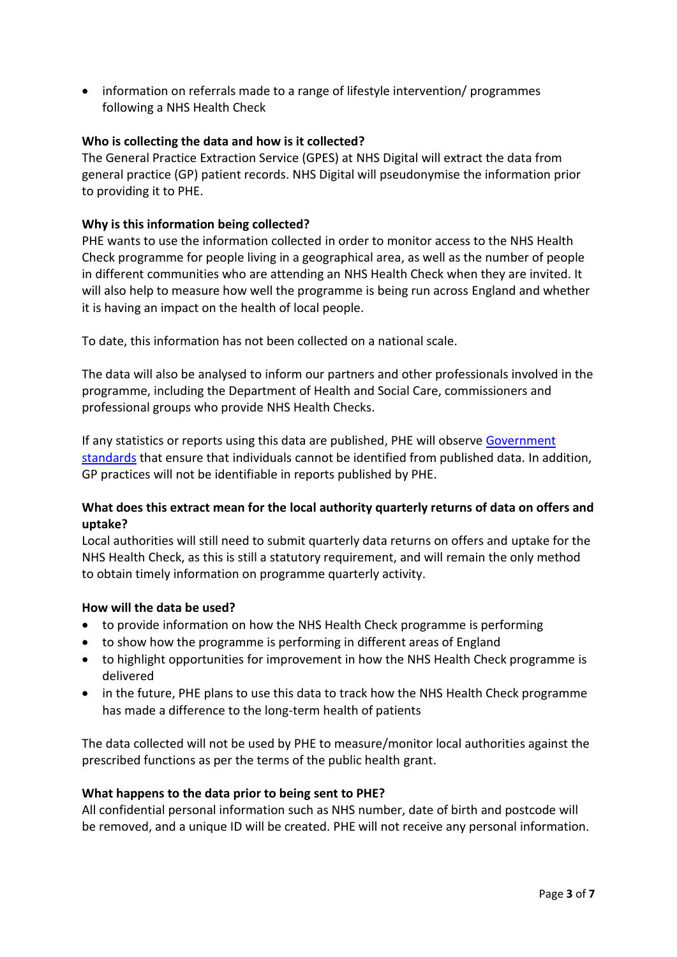information on referrals made to a range of lifestyle intervention/ programmes following a NHS Health Check

## **Who is collecting the data and how is it collected?**

The General Practice Extraction Service (GPES) at NHS Digital will extract the data from general practice (GP) patient records. NHS Digital will pseudonymise the information prior to providing it to PHE.

## **Why is this information being collected?**

PHE wants to use the information collected in order to monitor access to the NHS Health Check programme for people living in a geographical area, as well as the number of people in different communities who are attending an NHS Health Check when they are invited. It will also help to measure how well the programme is being run across England and whether it is having an impact on the health of local people.

To date, this information has not been collected on a national scale.

The data will also be analysed to inform our partners and other professionals involved in the programme, including the Department of Health and Social Care, commissioners and professional groups who provide NHS Health Checks.

If any statistics or reports using this data are published, PHE will observe Government [standards](https://gss.civilservice.gov.uk/statistics/methodology-2/statistical-disclosure-control/) that ensure that individuals cannot be identified from published data. In addition, GP practices will not be identifiable in reports published by PHE.

## **What does this extract mean for the local authority quarterly returns of data on offers and uptake?**

Local authorities will still need to submit quarterly data returns on offers and uptake for the NHS Health Check, as this is still a statutory requirement, and will remain the only method to obtain timely information on programme quarterly activity.

## **How will the data be used?**

- to provide information on how the NHS Health Check programme is performing
- to show how the programme is performing in different areas of England
- to highlight opportunities for improvement in how the NHS Health Check programme is delivered
- in the future, PHE plans to use this data to track how the NHS Health Check programme has made a difference to the long-term health of patients

The data collected will not be used by PHE to measure/monitor local authorities against the prescribed functions as per the terms of the public health grant.

## **What happens to the data prior to being sent to PHE?**

All confidential personal information such as NHS number, date of birth and postcode will be removed, and a unique ID will be created. PHE will not receive any personal information.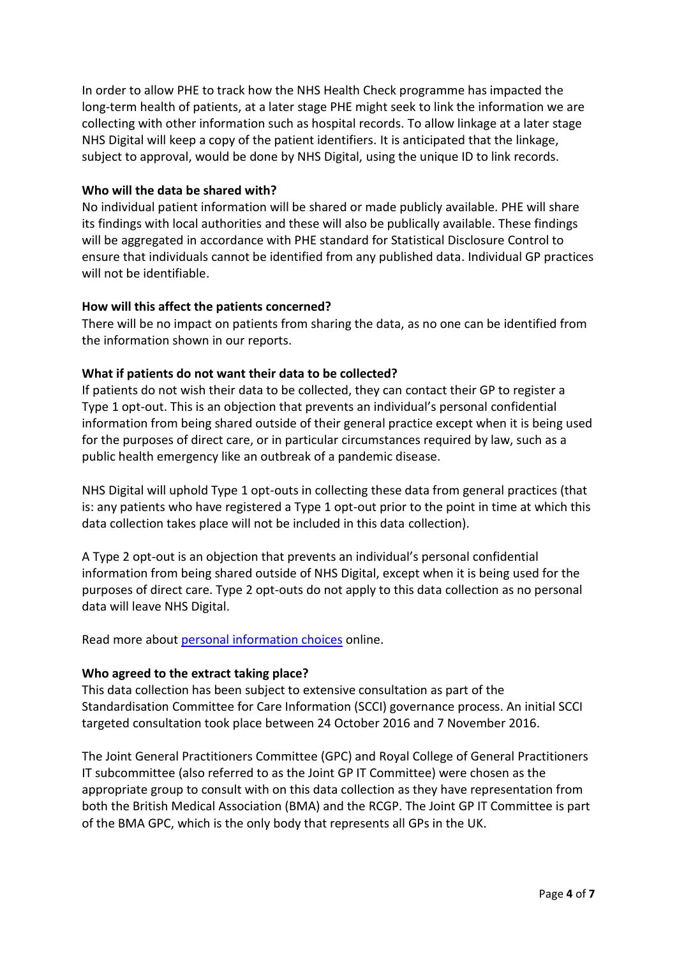In order to allow PHE to track how the NHS Health Check programme has impacted the long-term health of patients, at a later stage PHE might seek to link the information we are collecting with other information such as hospital records. To allow linkage at a later stage NHS Digital will keep a copy of the patient identifiers. It is anticipated that the linkage, subject to approval, would be done by NHS Digital, using the unique ID to link records.

## **Who will the data be shared with?**

No individual patient information will be shared or made publicly available. PHE will share its findings with local authorities and these will also be publically available. These findings will be aggregated in accordance with PHE standard for Statistical Disclosure Control to ensure that individuals cannot be identified from any published data. Individual GP practices will not be identifiable.

## **How will this affect the patients concerned?**

There will be no impact on patients from sharing the data, as no one can be identified from the information shown in our reports.

## **What if patients do not want their data to be collected?**

If patients do not wish their data to be collected, they can contact their GP to register a Type 1 opt-out. This is an objection that prevents an individual's personal confidential information from being shared outside of their general practice except when it is being used for the purposes of direct care, or in particular circumstances required by law, such as a public health emergency like an outbreak of a pandemic disease.

NHS Digital will uphold Type 1 opt-outs in collecting these data from general practices (that is: any patients who have registered a Type 1 opt-out prior to the point in time at which this data collection takes place will not be included in this data collection).

A Type 2 opt-out is an objection that prevents an individual's personal confidential information from being shared outside of NHS Digital, except when it is being used for the purposes of direct care. Type 2 opt-outs do not apply to this data collection as no personal data will leave NHS Digital.

Read more about [personal information choices](https://digital.nhs.uk/article/404/Your-personal-information-choices) online.

## **Who agreed to the extract taking place?**

This data collection has been subject to extensive consultation as part of the Standardisation Committee for Care Information (SCCI) governance process. An initial SCCI targeted consultation took place between 24 October 2016 and 7 November 2016.

The Joint General Practitioners Committee (GPC) and Royal College of General Practitioners IT subcommittee (also referred to as the Joint GP IT Committee) were chosen as the appropriate group to consult with on this data collection as they have representation from both the British Medical Association (BMA) and the RCGP. The Joint GP IT Committee is part of the BMA GPC, which is the only body that represents all GPs in the UK.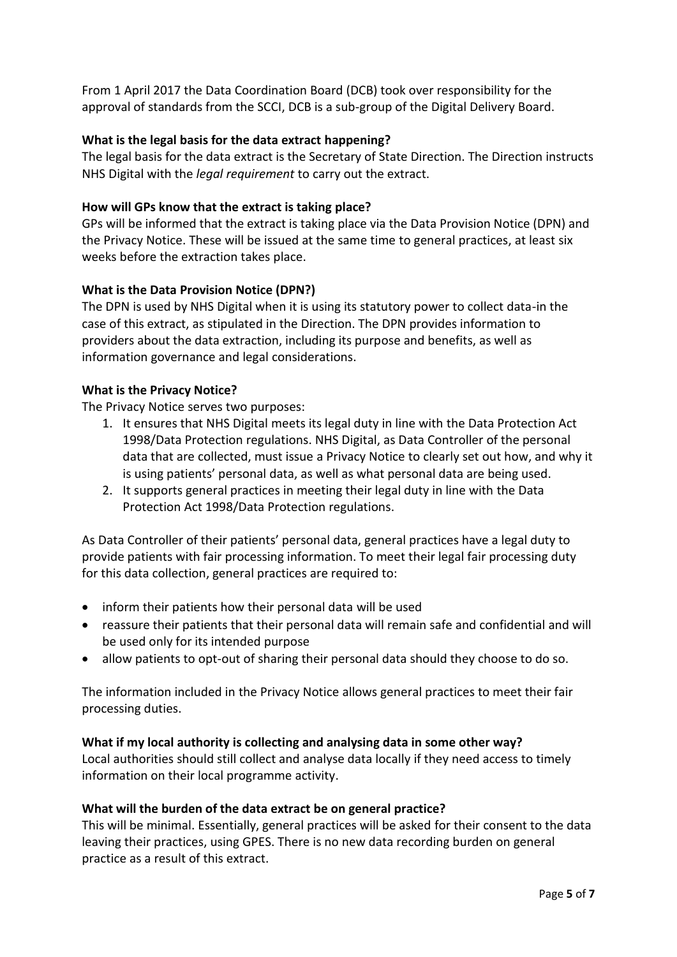From 1 April 2017 the Data Coordination Board (DCB) took over responsibility for the approval of standards from the SCCI, DCB is a sub-group of the Digital Delivery Board.

# **What is the legal basis for the data extract happening?**

The legal basis for the data extract is the Secretary of State Direction. The Direction instructs NHS Digital with the *legal requirement* to carry out the extract.

## **How will GPs know that the extract is taking place?**

GPs will be informed that the extract is taking place via the Data Provision Notice (DPN) and the Privacy Notice. These will be issued at the same time to general practices, at least six weeks before the extraction takes place.

## **What is the Data Provision Notice (DPN?)**

The DPN is used by NHS Digital when it is using its statutory power to collect data-in the case of this extract, as stipulated in the Direction. The DPN provides information to providers about the data extraction, including its purpose and benefits, as well as information governance and legal considerations.

## **What is the Privacy Notice?**

The Privacy Notice serves two purposes:

- 1. It ensures that NHS Digital meets its legal duty in line with the Data Protection Act 1998/Data Protection regulations. NHS Digital, as Data Controller of the personal data that are collected, must issue a Privacy Notice to clearly set out how, and why it is using patients' personal data, as well as what personal data are being used.
- 2. It supports general practices in meeting their legal duty in line with the Data Protection Act 1998/Data Protection regulations.

As Data Controller of their patients' personal data, general practices have a legal duty to provide patients with fair processing information. To meet their legal fair processing duty for this data collection, general practices are required to:

- inform their patients how their personal data will be used
- reassure their patients that their personal data will remain safe and confidential and will be used only for its intended purpose
- allow patients to opt-out of sharing their personal data should they choose to do so.

The information included in the Privacy Notice allows general practices to meet their fair processing duties.

# **What if my local authority is collecting and analysing data in some other way?**

Local authorities should still collect and analyse data locally if they need access to timely information on their local programme activity.

## **What will the burden of the data extract be on general practice?**

This will be minimal. Essentially, general practices will be asked for their consent to the data leaving their practices, using GPES. There is no new data recording burden on general practice as a result of this extract.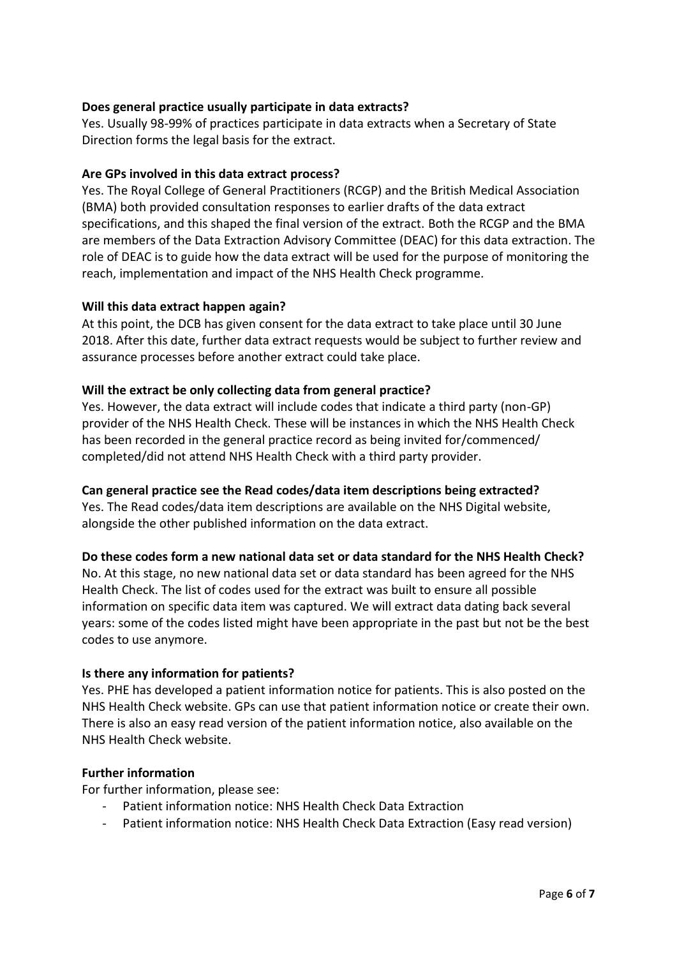# **Does general practice usually participate in data extracts?**

Yes. Usually 98-99% of practices participate in data extracts when a Secretary of State Direction forms the legal basis for the extract.

## **Are GPs involved in this data extract process?**

Yes. The Royal College of General Practitioners (RCGP) and the British Medical Association (BMA) both provided consultation responses to earlier drafts of the data extract specifications, and this shaped the final version of the extract. Both the RCGP and the BMA are members of the Data Extraction Advisory Committee (DEAC) for this data extraction. The role of DEAC is to guide how the data extract will be used for the purpose of monitoring the reach, implementation and impact of the NHS Health Check programme.

## **Will this data extract happen again?**

At this point, the DCB has given consent for the data extract to take place until 30 June 2018. After this date, further data extract requests would be subject to further review and assurance processes before another extract could take place.

## **Will the extract be only collecting data from general practice?**

Yes. However, the data extract will include codes that indicate a third party (non-GP) provider of the NHS Health Check. These will be instances in which the NHS Health Check has been recorded in the general practice record as being invited for/commenced/ completed/did not attend NHS Health Check with a third party provider.

## **Can general practice see the Read codes/data item descriptions being extracted?**

Yes. The Read codes/data item descriptions are available on the NHS Digital website, alongside the other published information on the data extract.

## **Do these codes form a new national data set or data standard for the NHS Health Check?**

No. At this stage, no new national data set or data standard has been agreed for the NHS Health Check. The list of codes used for the extract was built to ensure all possible information on specific data item was captured. We will extract data dating back several years: some of the codes listed might have been appropriate in the past but not be the best codes to use anymore.

## **Is there any information for patients?**

Yes. PHE has developed a patient information notice for patients. This is also posted on the NHS Health Check website. GPs can use that patient information notice or create their own. There is also an easy read version of the patient information notice, also available on the NHS Health Check website.

## **Further information**

For further information, please see:

- Patient information notice: NHS Health Check Data Extraction
- Patient information notice: NHS Health Check Data Extraction (Easy read version)